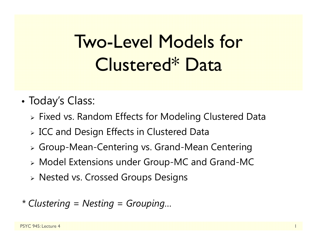# Two-Level Models for Clustered\* Data

- • Today's Class:
	- Fixed vs. Random Effects for Modeling Clustered Data
	- $\triangleright$  ICC and Design Effects in Clustered Data
	- Group-Mean-Centering vs. Grand-Mean Centering
	- Model Extensions under Group-MC and Grand-MC
	- Nested vs. Crossed Groups Designs
- *\* Clustering = Nesting = Grouping…*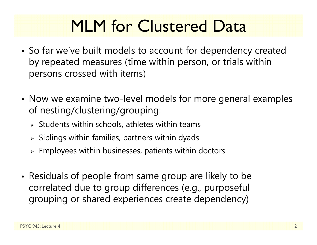## MLM for Clustered Data

- • So far we've built models to account for dependency created by repeated measures (time within person, or trials within persons crossed with items)
- • Now we examine two-level models for more general examples of nesting/clustering/grouping:
	- $\triangleright$  Students within schools, athletes within teams
	- $\triangleright$  Siblings within families, partners within dyads
	- $\triangleright$  Employees within businesses, patients within doctors
- • Residuals of people from same group are likely to be correlated due to group differences (e.g., purposeful grouping or shared experiences create dependency)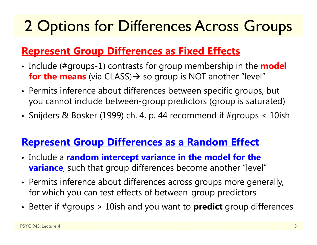### 2 Options for Differences Across Groups

### **Represent Group Differences as Fixed Effects**

- Include (#groups-1) contrasts for group membership in the **model for the means** (via CLASS) $\rightarrow$  so group is NOT another "level"
- Permits inference about differences between specific groups, but you cannot include between-group predictors (group is saturated)
- Snijders & Bosker (1999) ch. 4, p. 44 recommend if #groups < 10ish

### **Represent Group Differences as a Random Effect**

- Include a **random intercept variance in the model for the variance**, such that group differences become another "level"
- Permits inference about differences across groups more generally, for which you can test effects of between-group predictors
- Better if #groups > 10ish and you want to **predict** group differences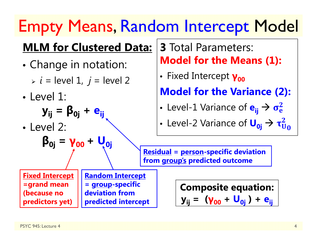## Empty Means, Random Intercept Model

### **MLM for Clustered Data:**

- • Change in notation:
	- *i* = level 1, *j* = level 2
- Level 1:

$$
\mathbf{y}_{ij} = \mathbf{\beta}_{0j} + \mathbf{e}_{ij}
$$

• Level 2:

$$
\beta_{0j} = \gamma_{00} + U_{0j}
$$

**Fixed Intercept =grand mean (because no predictors yet)** 

**Random Intercept = group-specific deviation from predicted intercept**

### **3** Total Parameters: **Model for the Means (1):**

• Fixed Intercept **γ<sub>οο</sub>** 

**Model for the Variance (2):**

•• Level-1 Variance of  ${\bf e}_{\mathsf{i}\mathsf{j}} \to \sigma_{\rm e}^2$ 

• Level-2 Variance of 
$$
U_{0j} \rightarrow \tau_{U_0}^2
$$

**Residual = person-specific deviation from group's predicted outcome** 

> **Composite equation: y**<sub>ij</sub> = (**γ**<sub>00</sub> + U<sub>0i</sub>) + e<sub>ii</sub>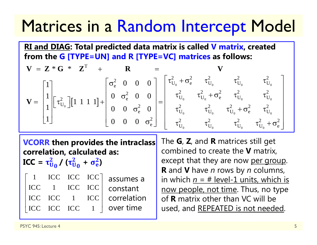### Matrices in a Random Intercept Model

**RI and DIAG: Total predicted data matrix is called V matrix, created from the G [TYPE=UN] and R [TYPE=VC] matrices as follows:**

$$
\mathbf{V} = \mathbf{Z} * \mathbf{G} * \mathbf{Z}^{T} + \mathbf{R} = \mathbf{V}
$$
  
\n
$$
\mathbf{V} = \begin{bmatrix} 1 \\ 1 \\ 1 \\ 1 \end{bmatrix} \begin{bmatrix} \tau_{U_{0}}^{2} \end{bmatrix} [1 \ 1 \ 1 \ 1] + \begin{bmatrix} \sigma_{e}^{2} & 0 & 0 & 0 \\ 0 & \sigma_{e}^{2} & 0 & 0 \\ 0 & 0 & \sigma_{e}^{2} & 0 \\ 0 & 0 & 0 & \sigma_{e}^{2} \end{bmatrix} = \begin{bmatrix} \tau_{U_{0}}^{2} + \sigma_{e}^{2} & \tau_{U_{0}}^{2} & \tau_{U_{0}}^{2} & \tau_{U_{0}}^{2} \\ \tau_{U_{0}}^{2} & \tau_{U_{0}}^{2} + \sigma_{e}^{2} & \tau_{U_{0}}^{2} & \tau_{U_{0}}^{2} \\ \tau_{U_{0}}^{2} & \tau_{U_{0}}^{2} & \tau_{U_{0}}^{2} & \tau_{U_{0}}^{2} \\ \tau_{U_{0}}^{2} & \tau_{U_{0}}^{2} & \tau_{U_{0}}^{2} & \tau_{U_{0}}^{2} + \sigma_{e}^{2} \end{bmatrix}
$$

**VCORR then provides the intraclass correlation, calculated as:** 

 $\mathbf{ICC} = \mathbf{\tau_U^2}$  $\frac{2}{\mathsf{U}_\mathsf{0}}$  /  $(\tau_\mathsf{U}^2$  $\frac{2}{\mathsf{U}_\mathbf{0}}$  $+$   $\sigma_{e}^{2}$ **)**

| $\mathbf{1}$ |                                                                                            |  | $\text{ICC } \text{ICC } \text{ICC}   \text{assumes a}$ |
|--------------|--------------------------------------------------------------------------------------------|--|---------------------------------------------------------|
|              | $\begin{bmatrix} \text{ICC} & 1 & \text{ICC} & \text{ICC} \end{bmatrix}$                   |  | constant                                                |
|              | $\begin{bmatrix} \text{ICC} & \text{ICC} & 1 & \text{ICC} \end{bmatrix}$                   |  | correlation                                             |
|              | $\begin{array}{ c c c c c c c c } \hline \text{ICC} & \text{ICC} & 1 \\\hline \end{array}$ |  | over time                                               |

The **G**, **Z**, and **R** matrices still get combined to create the **V** matrix, except that they are now per group. **R** and **V** have *n* rows by *n* columns, in which *n* = # level-1 units, which is now people, not time. Thus, no type of **R** matrix other than VC will be used, and REPEATED is not needed.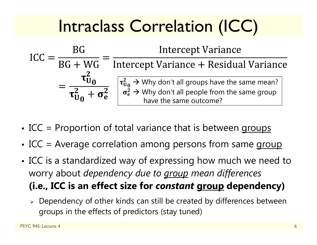## Intraclass Correlation (ICC)

$$
ICC = \frac{BG}{BG + WG} = \frac{Intercept Variance}{Intercept Variance + Residual Variance}
$$

$$
= \frac{\tau_{U_0}^2}{\tau_{U_0}^2 + \sigma_e^2} \quad \begin{bmatrix} \tau_{U_0}^2 \to Why \text{ don't all groups have the same mean?} \\ \sigma_e^2 \to Why \text{ don't all people from the same group} \\ \text{have the same outcome?} \end{bmatrix}
$$

- •• ICC = Proportion of total variance that is between groups
- •• ICC = Average correlation among persons from same group
- • ICC is a standardized way of expressing how much we need to worry about *dependency due to group mean differences* **(i.e., ICC is an effect size for** *constant* **group dependency)**
	- $\triangleright$  Dependency of other kinds can still be created by differences between groups in the effects of predictors (stay tuned)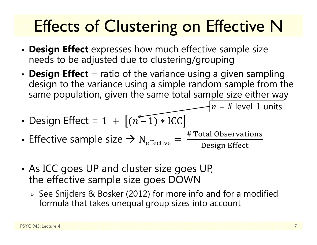# Effects of Clustering on Effective N

- • **Design Effect** expresses how much effective sample size needs to be adjusted due to clustering/grouping
- • **Design Effect** = ratio of the variance using a given sampling design to the variance using a simple random sample from the same population, given the same total sample size either way

 $n$  = # level-1 units

- •Design Effect =
- •• Effective sample size  $\rightarrow$  N<sub>effective</sub> # Total Observations<br>Design Effect
- • As ICC goes UP and cluster size goes UP, the effective sample size goes DOWN
	- See Snijders & Bosker (2012) for more info and for a modified formula that takes unequal group sizes into account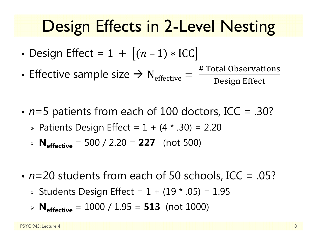### Design Effects in 2-Level Nesting

- •Design Effect =
- •• Effective sample size  $\rightarrow$  N<sub>effective</sub>

 $\epsilon_{\rm e} = \frac{\text{\# Total Observations}}{\text{Design Effect}}$ 

- *<sup>n</sup>*=5 patients from each of 100 doctors, ICC = .30? Patients Design Effect = 1 + (4 \* .30) = 2.20
	- **Neffective** = 500 / 2.20 = **227** (not 500)
- *n*=20 students from each of 50 schools, ICC = .05?
	- Students Design Effect = 1 + (19 \* .05) = 1.95
	- **Neffective** = 1000 / 1.95 = **513** (not 1000)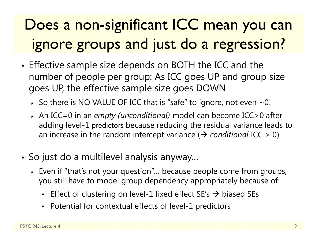### Does a non-significant ICC mean you can ignore groups and just do a regression?

- • Effective sample size depends on BOTH the ICC and the number of people per group: As ICC goes UP and group size goes UP, the effective sample size goes DOWN
	- $\triangleright\;$  So there is NO VALUE OF ICC that is "safe" to ignore, not even  $\sim\!0!$
	- An ICC=0 in an *empty (unconditional)* model can become ICC>0 after adding level-1 predictors because reducing the residual variance leads to an increase in the random intercept variance ( *conditional* ICC > 0)
- So just do a multilevel analysis anyway…
	- $\triangleright\;$  Even if "that's not your question"… because people come from groups, you still have to model group dependency appropriately because of:
		- Effect of clustering on level-1 fixed effect SE's  $\rightarrow$  biased SEs
		- Potential for contextual effects of level-1 predictors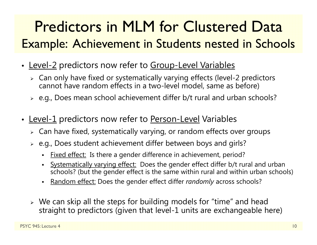### Predictors in MLM for Clustered Data Example: Achievement in Students nested in Schools

- Level-2 predictors now refer to Group-Level Variables
	- Can only have fixed or systematically varying effects (level-2 predictors cannot have random effects in a two-level model, same as before)
	- $\triangleright$  e.g., Does mean school achievement differ b/t rural and urban schools?
- Level-1 predictors now refer to <u>Person-Level</u> Variables
	- $\triangleright\;$  Can have fixed, systematically varying, or random effects over groups
	- $\triangleright$   $\,$  e.g., Does student achievement differ between boys and girls?
		- n Fixed effect: Is there a gender difference in achievement, period?
		- n Systematically varying effect: Does the gender effect differ b/t rural and urban schools? (but the gender effect is the same within rural and within urban schools)
		- n Random effect: Does the gender effect differ *randomly* across schools?
	- $\triangleright$  We can skip all the steps for building models for "time" and head straight to predictors (given that level-1 units are exchangeable here)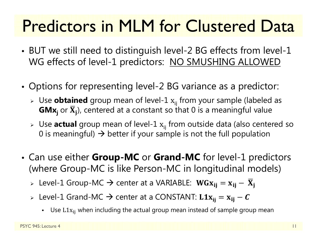## Predictors in MLM for Clustered Data

- • BUT we still need to distinguish level-2 BG effects from level-1 WG effects of level-1 predictors: NO SMUSHING ALLOWED
- • Options for representing level-2 BG variance as a predictor:
	- » Use **obtained** group mean of level-1  $x_{ij}$  from your sample (labeled as  $\mathbf{G}\mathbf{M}\mathbf{x}_\mathbf{j}$  or  $\overline{\mathbf{X}}_\mathbf{j}$ ), centered at a constant so that 0 is a meaningful value
	- » Use **actual** group mean of level-1  $\mathrm{x_{ij}}$  from outside data (also centered so 0 is meaningful)  $\bm{\rightarrow}$  better if your sample is not the full population
- • Can use either **Group-MC** or **Grand-MC** for level-1 predictors (where Group-MC is like Person-MC in longitudinal models)

> Level-1 Group-MC  $\rightarrow$  center at a VARIABLE:  $\text{WGx}_{ij} = x_{ij} - \overline{X}_{ji}$ 

- > Level-1 Grand-MC  $\rightarrow$  center at a CONSTANT:  $\text{L1x}_{ij} = \text{x}_{ij} C$ 
	- Use  $\mathtt{L1x_{ij}}$  when including the actual group mean instead of sample group mean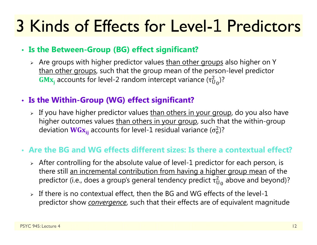#### • **Is the Between-Group (BG) effect significant?**

 $\triangleright$  Are groups with higher predictor values <u>than other groups</u> also higher on Y than other groups, such that the group mean of the person-level predictor  $\mathbf{G}\mathbf{M}{\mathbf{x}_{\mathsf{j}}}$  accounts for level-2 random intercept variance ( $\tau_\mathrm{U}^2$  $_{U_0}^2$ )?

#### • **Is the Within-Group (WG) effect significant?**

> If you have higher predictor values <u>than others in your group</u>, do you also have higher outcomes values than others in your group, such that the within-group deviation  $\textsf{WGx}_{\text{ij}}$  accounts for level-1 residual variance ( $\sigma^2_{\text{e}}$ )?

#### • **Are the BG and WG effects different sizes: Is there a contextual effect?**

- $\triangleright$  After controlling for the absolute value of level-1 predictor for each person, is there still an incremental contribution from having a higher group mean of the predictor (i.e., does a group's general tendency predict  $\tau_\mathrm{U}^2$  $^2_{\mathrm{U}_0}$  above and beyond)?
- $\triangleright$  If there is no contextual effect, then the BG and WG effects of the level-1 predictor show *convergence*, such that their effects are of equivalent magnitude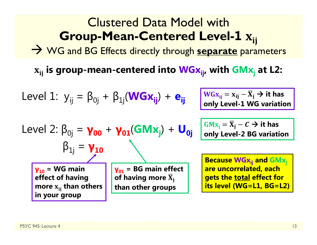| Clustering                                                            | Clustered Data Model with                                                                                                                                                                                  |
|-----------------------------------------------------------------------|------------------------------------------------------------------------------------------------------------------------------------------------------------------------------------------------------------|
| <b>Group-Mean-Centered Level-1</b>                                    | $x_{ij}$                                                                                                                                                                                                   |
| $\rightarrow$ WG and BG Effects directly through separate parameters  |                                                                                                                                                                                                            |
| $x_{ij}$ is group-mean-centered into $WGx_{ij}$ , with $GMx_j$ at L2: |                                                                                                                                                                                                            |
| Level 1: $y_{ij} = \beta_{0j} + \beta_{1j}(WGx_{ij}) + e_{ij}$        | $WGx_{ij} = x_{ij} - \overline{x}_j \rightarrow it$ has only Level-1 WG variation                                                                                                                          |
| Level 2: $\beta_{0j} = \gamma_{00} + \gamma_{01}(GMx_j) + U_{0j}$     | $GMx_j = \overline{x}_j - c \rightarrow it$ has only Level-2 BG variation                                                                                                                                  |
| $\beta_{1j} = \gamma_{10}$                                            | $\gamma_{01} = BG$ main effect of having more $\overline{x}_j$ of having more $\overline{x}_j$ and $GMx_j$ are uncorrelated, each of having more $\overline{x}_j$ that effect for its level (WG=L1, BG=L2) |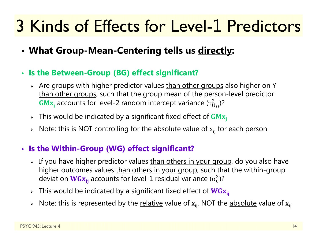- **What Group-Mean-Centering tells us directly:**
- **Is the Between-Group (BG) effect significant?**
	- $\triangleright$  Are groups with higher predictor values <u>than other groups</u> also higher on Y than other groups, such that the group mean of the person-level predictor  $\mathbf{G}\mathbf{M}{\mathbf{x}_{\mathsf{j}}}$  accounts for level-2 random intercept variance ( $\tau_\mathrm{U}^2$  $_{U_0}^2$ )?
	- $\triangleright$  This would be indicated by a significant fixed effect of  $\mathbf{G}\mathbf{M}\mathbf{x}_\mathrm{j}$
	- $\triangleright$   $\,$  Note: this is NOT controlling for the absolute value of  $\rm x_{\rm ij}$  for each person

#### • **Is the Within-Group (WG) effect significant?**

- > If you have higher predictor values <u>than others in your group</u>, do you also have higher outcomes values than others in your group, such that the within-group deviation  $\textsf{WGx}_{\text{ij}}$  accounts for level-1 residual variance ( $\sigma^2_{\text{e}}$ )?
- $\triangleright$  This would be indicated by a significant fixed effect of  $\mathbf{W} \mathbf{G} \mathbf{x}_{\mathbf{ij}}$
- $\triangleright$   $\,$  Note: this is represented by the <u>relative</u> value of  $\rm x_{ij}$ , NOT the <u>absolute</u> value of  $\rm x_{ij}$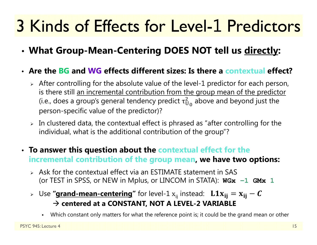• **What Group-Mean-Centering DOES NOT tell us directly:**

#### • **Are the BG and WG effects different sizes: Is there a contextual effect?**

- $\triangleright$  After controlling for the absolute value of the level-1 predictor for each person, is there still an incremental contribution from the group mean of the predictor (i.e., does a group's general tendency predict  $\tau^2_{\mathrm{U}}$  $^2_{\mathrm{U}_0}$  above and beyond just the person-specific value of the predictor)?
- $\triangleright$  In clustered data, the contextual effect is phrased as "after controlling for the individual, what is the additional contribution of the group"?

#### • **To answer this question about the contextual effect for the incremental contribution of the group mean, we have two options:**

- $\triangleright$  Ask for the contextual effect via an ESTIMATE statement in SAS (or TEST in SPSS, or NEW in Mplus, or LINCOM in STATA): **WGx − 1 GMx 1**
- $\triangleright$  Use "**grand-mean-centering**" for level-1  $\mathrm{x_{ij}}$  instead:  $\mathbf{L1x_{ij}} = \mathrm{x_{ij}} C$  **centered at a CONSTANT, NOT A LEVEL-2 VARIABLE**
	- Which constant only matters for what the reference point is; it could be the grand mean or other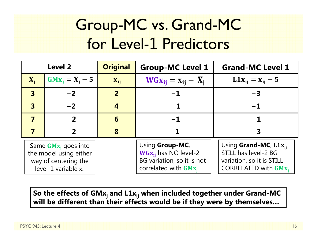### Group-MC vs. Grand-MC for Level-1 Predictors

| <b>Level 2</b>                                                                                        |                              | <b>Original</b> | <b>Group-MC Level 1</b>                                                                               | <b>Grand-MC Level 1</b>                                                                                                |
|-------------------------------------------------------------------------------------------------------|------------------------------|-----------------|-------------------------------------------------------------------------------------------------------|------------------------------------------------------------------------------------------------------------------------|
| $\overline{\mathbf{X}}_i$                                                                             | $GMx_i = \overline{X}_i - 5$ | $X_{ij}$        | $WGx_{ij} = x_{ij} - X_j$                                                                             | $L1x_{ij} = x_{ij} - 5$                                                                                                |
| $\overline{\mathbf{3}}$                                                                               | $-2$                         | 2 <sup>1</sup>  | $-1$                                                                                                  | $-3$                                                                                                                   |
| $\mathbf{3}$                                                                                          | $-2$                         | 4               |                                                                                                       | $-1$                                                                                                                   |
|                                                                                                       |                              | 6               | $-1$                                                                                                  |                                                                                                                        |
|                                                                                                       |                              | 8               |                                                                                                       |                                                                                                                        |
| Same $GMx_i$ goes into<br>the model using either<br>way of centering the<br>level-1 variable $x_{ii}$ |                              |                 | Using Group-MC,<br>$WGx_{ii}$ has NO level-2<br>BG variation, so it is not<br>correlated with $GMx_i$ | Using <b>Grand-MC</b> , $L1x_{ii}$<br>STILL has level-2 BG<br>variation, so it is STILL<br><b>CORRELATED with GMx.</b> |

So the effects of GMx<sub>i</sub> and L1x<sub>ij</sub> when included together under Grand-MC **will be different than their effects would be if they were by themselves…**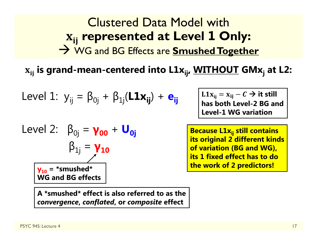**γ10 <sup>=</sup>\*smushed\* WG and BG effects**

Level 2: β0j <sup>=</sup> **γ00** <sup>+</sup> **U0j**

 $\beta_{1j} = \gamma_{10}$ 

*convergence***,** *conflated***, or** *composite* **effect**

**A \*smushed\* effect is also referred to as the** 

Level 1: y<sub>ij</sub> = β<sub>0j</sub> + β<sub>1j</sub>(L1x<sub>ij</sub>) + e<sub>ij</sub>

**its original 2 different kinds of variation (BG and WG), its 1 fixed effect has to do the work of 2 predictors!**

 $\text{L1x}_{ij} = \text{x}_{ij} - C \rightarrow \text{it still}$ **has both Level-2 BG and Level-1 WG variation** 

**Because L1x<sub>ij</sub> still contains** 

ܠܑܒ **is grand-mean-centered into L1xij, WITHOUT GMxj at L2:**

Clustered Data Model withܑܒ **represented at Level 1 Only:** WG and BG Effects are **Smushed Together**

PSYC 945: Lecture 417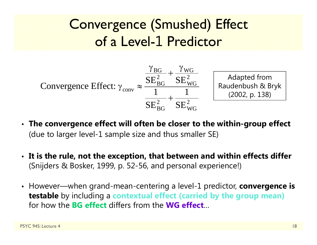### Convergence (Smushed) Effect of a Level-1 Predictor



- **The convergence effect will often be closer to the within-group effect** (due to larger level-1 sample size and thus smaller SE)
- **It is the rule, not the exception, that between and within effects differ** (Snijders & Bosker, 1999, p. 52-56, and personal experience!)
- However—when grand-mean-centering a level-1 predictor, **convergence is testable** by including a **contextual effect (carried by the group mean)**  for how the **BG effect** differs from the **WG effect**…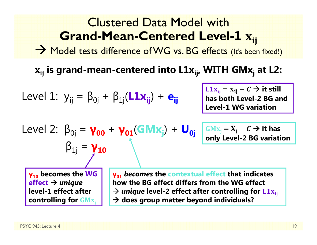#### Clustered Data Model with**Grand-Mean-Centered Level-1**<u>≖ ^ij</u>

 $\rightarrow$  Model tests difference of WG vs. BG effects (It's been fixed!)

ܠܑܒ **is grand-mean-centered into L1xij, WITH GMxj at L2:**

Level 1: 
$$
y_{ij} = \beta_{0j} + \beta_{1j}(\mathbf{L} \mathbf{1} \mathbf{x}_{ij}) + \mathbf{e}_{ij}
$$

 $L1x_{ij} = x_{ij} - C \rightarrow it$  still **has both Level-2 BG and Level-1 WG variation** 

$$
Level 2: \beta_{0j} = \gamma_{00} + \gamma_{01}(GMx_j) + U_{0j}
$$
\n
$$
\beta_{1j} = \gamma_{10}
$$

 $GMx_j = \overline{X}_j - C \rightarrow$  it has **only Level-2 BG variation**

**γ10 becomes the WG effect** *unique* **level-1 effect after controlling for GMx** 

**γ01** *becomes* **the contextual effect that indicates how the BG effect differs from the WG effect**   $\rightarrow$  *unique* level-2 effect after controlling for  $\rm L1x_{ij}$ **does group matter beyond individuals?**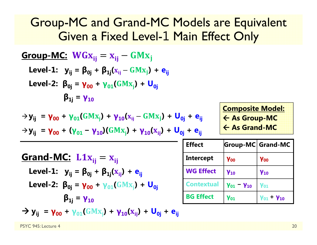### Group-MC and Grand-MC Models are Equivalent Given a Fixed Level-1 Main Effect Only

| Group-MC:                                                                                                       | WGx <sub>ij</sub> = x <sub>ij</sub> - GMx <sub>j</sub>      |
|-----------------------------------------------------------------------------------------------------------------|-------------------------------------------------------------|
| Level-1:                                                                                                        | $y_{ij} = \beta_{0j} + \beta_{1j}(x_{ij} - GMx_j) + e_{ij}$ |
| Level-2:                                                                                                        | $\beta_{0j} = \gamma_{00} + \gamma_{01}(GMx_j) + U_{0j}$    |
| $\beta_{1j} = \gamma_{10}$                                                                                      |                                                             |
| $\rightarrow y_{ij} = \gamma_{00} + \gamma_{01}(GMx_j) + \gamma_{10}(x_{ij} - GMx_j) + U_{0j} + e_{ij}$         |                                                             |
| $\rightarrow y_{ij} = \gamma_{00} + (\gamma_{01} - \gamma_{10})(GMx_j) + \gamma_{10}(x_{ij}) + U_{0j} + e_{ij}$ |                                                             |
| $\rightarrow y_{ij} = \gamma_{00} + (\gamma_{01} - \gamma_{10})(GMx_j) + \gamma_{10}(x_{ij}) + U_{0j} + e_{ij}$ |                                                             |
| Grand-MC:                                                                                                       | $L1x_{ij} = x_{ij}$                                         |
| Level-1:                                                                                                        | $y_{ij} = \beta_{0j} + \beta_{1j}(x_{ij}) + e_{ij}$         |
| Level-2:                                                                                                        | $\beta_{0j} = \gamma_{00} + \gamma_{01}(GMx_j) + U_{0j}$    |
| $\beta_{1j} = \gamma_{10}$                                                                                      |                                                             |
| $\rightarrow y_{ij} = \gamma_{00} + \gamma_{01}(GMx_j) + \gamma_{10}(x_{ij}) + U_{0j} + e_{ij}$                 |                                                             |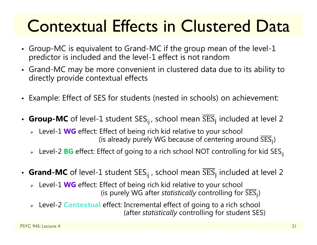## Contextual Effects in Clustered Data

- Group-MC is equivalent to Grand-MC if the group mean of the level-1 predictor is included and the level-1 effect is not random
- Grand-MC may be more convenient in clustered data due to its ability to directly provide contextual effects
- Example: Effect of SES for students (nested in schools) on achievement:
- $\,$  Group-MC of level-1 student SES $_{\rm ij}$ , school mean SES $_{\rm j}$  included at level 2
	- Level-1 **WG** effect: Effect of being rich kid relative to your school (is already purely WG because of centering around  $\overline{\text{SES}}_i$ )
	- > Level-2 **BG** effect: Effect of going to a rich school NOT controlling for kid SES<sub>ij</sub>
- $\,$  Grand-MC of level-1 student SES $_{\rm ij}$  , school mean SES $_{\rm j}$  included at level 2
	- Level-1 **WG** effect: Effect of being rich kid relative to your school (is purely WG after *statistically* controlling for  $\overline{\text{SES}}_i$ )
	- Level-2 **Contextual** effect: Incremental effect of going to a rich school (after *statistically* controlling for student SES)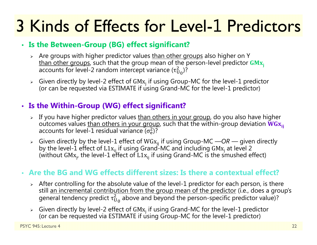#### • **Is the Between-Group (BG) effect significant?**

- > Are groups with higher predictor values <u>than other groups</u> also higher on Y than other groups, such that the group mean of the person-level predictor GMx<sub>i</sub>  $\tau_{\rm U}$  $^2_{\rm U_0}$ )?
- > Given directly by level-2 effect of GM $x_i$  if using Group-MC for the level-1 predictor (or can be requested via ESTIMATE if using Grand-MC for the level-1 predictor)

#### • **Is the Within-Group (WG) effect significant?**

- > If you have higher predictor values <u>than others in your group</u>, do you also have higher outcomes values than others in your group, such that the within-group deviation  $WG_{X_{ii}}$  $\sigma_{\rm e}^2$ )?
- Fiven directly by the level-1 effect of WGx<sub>ij</sub> if using Group-MC —OR given directly<br>by the level-1 effect of L1x<sub>ij</sub> if using Grand-MC and including GMx<sub>j</sub> at level 2<br>(without GMx<sub>j</sub>, the level-1 effect of L1x<sub>ij</sub> if u

#### • **Are the BG and WG effects different sizes: Is there a contextual effect?**

- $\triangleright$  After controlling for the absolute value of the level-1 predictor for each person, is there still an incremental contribution from the group mean of the predictor (i.e., does a group's general tendency predict  $\tau^2_{\mathrm{U}}$  $_{\rm U_0}^2$  above and beyond the person-specific predictor value)?
- > Given directly by level-2 effect of  $GMx_i$  if using Grand-MC for the level-1 predictor (or can be requested via ESTIMATE if using Group-MC for the level-1 predictor)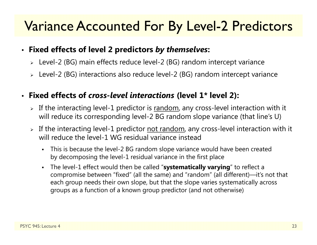### Variance Accounted For By Level-2 Predictors

#### • **Fixed effects of level 2 predictors** *by themselves***:**

- Level-2 (BG) main effects reduce level-2 (BG) random intercept variance
- Level-2 (BG) interactions also reduce level-2 (BG) random intercept variance

#### •**Fixed effects of** *cross-level interactions* **(level 1\* level 2):**

- $\triangleright$  If the interacting level-1 predictor is  $\overline{\text{random}}$ , any cross-level interaction with it will reduce its corresponding level-2 BG random slope variance (that line's U)
- $\triangleright$  If the interacting level-1 predictor <u>not random</u>, any cross-level interaction with it will reduce the level-1 WG residual variance instead
	- This is because the level-2 BG random slope variance would have been created by decomposing the level-1 residual variance in the first place
	- The level-1 effect would then be called "**systematically varying**" to reflect a compromise between "fixed" (all the same) and "random" (all different)—it's not that each group needs their own slope, but that the slope varies systematically across groups as a function of a known group predictor (and not otherwise)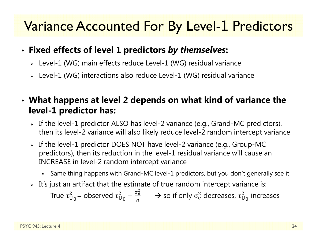### Variance Accounted For By Level-1 Predictors

#### • **Fixed effects of level 1 predictors** *by themselves***:**

- Level-1 (WG) main effects reduce Level-1 (WG) residual variance
- Level-1 (WG) interactions also reduce Level-1 (WG) residual variance

### • **What happens at level 2 depends on what kind of variance the level-1 predictor has:**

- $\triangleright$  If the level-1 predictor ALSO has level-2 variance (e.g., Grand-MC predictors), then its level-2 variance will also likely reduce level-2 random intercept variance
- $\triangleright$  If the level-1 predictor DOES NOT have level-2 variance (e.g., Group-MC predictors), then its reduction in the level-1 residual variance will cause an INCREASE in level-2 random intercept variance
	- Same thing happens with Grand-MC level-1 predictors, but you don't generally see it
- $\triangleright$   $\,$  It's just an artifact that the estimate of true random intercept variance is:

True  $\tau^{\scriptscriptstyle\mathcal{L}}_{\mathsf{U}}$  $^2_\mathrm{U_0}$ = observed τ $^2_\mathrm{U}$ 2<br>Սօ —  $\sigma_{\rm e}$ మ п  $\rightarrow$  so if only  $\sigma_{\rm e}^2$  $_{\rm e}^2$  decreases,  $\tau_{\rm U}^2$  $_{\rm U_{\rm 0}}^{2}$  increases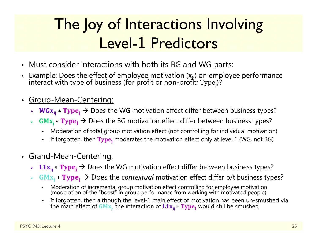### The Joy of Interactions Involving Level-1 Predictors

- •Must consider interactions with both its BG and WG parts:
- •• Example: Does the effect of employee motivation (x<sub>ij</sub>) on employee performance<br>interact with type of business (for profit or non-profit; Type<sub>j</sub>)?
- $\bullet$  Group-Mean-Centering:
	- $\triangleright$   $\mathbf{WGx_{ij}} * \mathbf{Type_j} \rightarrow$  Does the WG motivation effect differ between business types?
	- ⊳ **GMx<sub>i</sub> \* Type<sub>j</sub> →** Does the BG motivation effect differ between business types?
		- Г Moderation of total group motivation effect (not controlling for individual motivation)
		- Г If forgotten, then  $Type_i$  moderates the motivation effect only at level 1 (WG, not BG)
- • Grand-Mean-Centering:
	- $\triangleright$   $\;\mathbf{L1x_{ij}}*\mathbf{Type_{j}}\to\mathsf{Does}$  the WG motivation effect differ between business types?
	- > GMx<sub>j</sub> \* Type<sub>j</sub> → Does the *contextual* motivation effect differ b/t business types?
		- Moderation of incremental group motivation effect controlling for employee motivation (moderation of the "boost" in group performance from working with motivated people)
		- Г If forgotten, then although the level-1 main effect of motivation has been un-smushed via the main effect of  $\mathbf{G}\mathbf{M}\mathbf{x}_{\mathsf{j}}$ , the interaction of  $\mathbf{L}\mathbf{1}\mathbf{x}_{\mathsf{i}\mathsf{j}}* \mathbf{T}\mathbf{y}\mathbf{p}\mathbf{e}_{\mathsf{j}}$  would still be smushed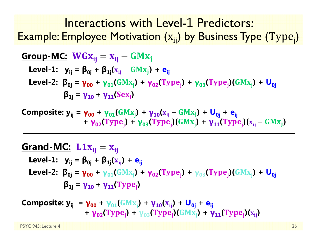Interactions with Level-1 Predictors: Example: Employee Motivation  $\left(\mathrm{x_{ij}}\right)$  by Business Type  $\left(\mathrm{Type}_{\mathrm{j}}\right)$ 

**Group-MC:** 
$$
WGx_{ij} = x_{ij} - GMx_j
$$

\nLevel-1:  $y_{ij} = \beta_{0j} + \beta_{1j}(x_{ij} - GMx_j) + e_{ij}$ 

\nLevel-2:  $\beta_{0j} = \gamma_{00} + \gamma_{01}(GMx_j) + \gamma_{02}(Type_j) + \gamma_{03}(Type_j)(GMx_j) + U_{0j}$ 

\n $\beta_{1j} = \gamma_{10} + \gamma_{11}(Sex_j)$ 

**Composite: y<sub>ij</sub> = γ<sub>00</sub> + γ<sub>01</sub>(GMx<sub>j</sub>) + γ<sub>10</sub>(x<sub>ij</sub> – GMx<sub>j</sub>) + U<sub>0j</sub> + e<sub>ij</sub>** + **γ**<sub>02</sub>(Type<sub>j</sub>) + γ<sub>03</sub>(Type<sub>j</sub>)(GMx<sub>j</sub>) + γ<sub>11</sub>(Type<sub>j</sub>)(x<sub>ij</sub> – GMx<sub>j</sub>)

### ܒܑܠۺ **:MC-Grand** ൌ ܒܑܠ

 ${\sf Level\text{-}1:} \quad {\sf y}_{\sf ij} = {\sf \beta}_{\sf 0j} + {\sf \beta}_{\sf 1j} ({\sf x}_{\sf ij}) + {\sf e}_{\sf ij}$ Level-2:  $\beta_{0j}$  =  $\gamma_{00}$  +  $\gamma_{01}$ (GM $\rm{x_{j}}$ ) +  $\gamma_{02}$ (Type<sub>j</sub>) +  $\gamma_{03}$ (Type<sub>j</sub>)(GM $\rm{x_{j}}$ ) + U<sub>0j</sub>  $\beta_{1j} = \gamma_{10} + \gamma_{11}(\text{Type}_j)$ 

**Composite: y<sub>ij</sub> = γ<sub>00</sub> + γ<sub>01</sub>(GMx<sub>j</sub>) + γ<sub>10</sub>(x<sub>ij</sub>) + U<sub>0j</sub> + e<sub>ij</sub>** + **γ**<sub>02</sub>(Type<sub>j</sub>) + γ<sub>03</sub>(Type<sub>j</sub>)(GMx<sub>j</sub>) + **γ<sub>11</sub>(Type**<sub>j</sub>)(x<sub>ij</sub>)

PSYC 945: Lecture 4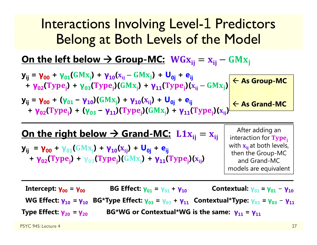### Interactions Involving Level-1 Predictors Belong at Both Levels of the Model

#### **On the left below**  <u>→ Group-MC:</u> WGx<sub>ij</sub> = x<sub>ij</sub> – GMx<sub>j</sub>



### On the right below → Grand-MC: 【1x<sub>ij</sub> = x<sub>ij</sub>

 ${\bf y_{ij}}$  **=**  ${\bf y_{00}}$  +  ${\bf y_{01}}$ (GM ${\bf x_{i}}$ ) +  ${\bf y_{10}}({\bf x_{ij}})$  +  ${\bf U_{0j}}$  +  ${\bf e_{ij}}$ + **γ**<sub>02</sub>(Type<sub>j</sub>) + γ<sub>03</sub>(Type<sub>j</sub>)(GMx<sub>j</sub>) + **γ<sub>11</sub>(Type**<sub>j</sub>)(x<sub>ij</sub>)

After adding an interaction for  $Type_i$ with  $\mathbf{x_{ij}}$ at both levels, then the Group-MC and Grand-MC models are equivalent

**Intercept: γ00 <sup>=</sup> γ00 BG Effect: γ01 = γ01 + γ10Contextual: γ**<sub>01</sub> = **γ**<sub>01</sub> − **γ10 WG Effect: γ10 = γ10 BG\*Type Effect: γ03 <sup>=</sup> γ03 + γ11 Contextual\*Type: γ03 = γ03** − **γ11 Type Effect: γ20= γ20BG\*WG or Contextual\*WG is the same: γ11 <sup>=</sup> γ11**

PSYC 945: Lecture 4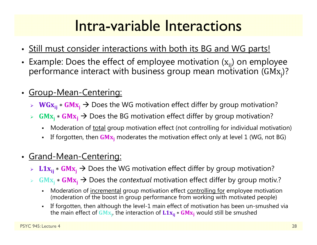### Intra-variable Interactions

- Still must consider interactions with both its BG and WG parts!
- •Example: Does the effect of employee motivation  $(x_{ii})$  on employee performance interact with business group mean motivation (GMx<sub>i</sub>)?
- • Group-Mean-Centering:
	- ܒܑܠ۵܅ ∗ ۵ܒܠۻ Does the WG motivation effect differ by group motivation?
	- $\blacktriangleright$  $GMx_i * GMx_i \rightarrow$  Does the BG motivation effect differ by group motivation?
		- n Moderation of total group motivation effect (not controlling for individual motivation)
		- If forgotten, then  $GMx_i$  moderates the motivation effect only at level 1 (WG, not BG)
- Grand-Mean-Centering:
	- ►  $\;$  L1 $\mathbf{x_{ij}}$   $\ast$  GM $\mathbf{x_j}$   $\to$  Does the WG motivation effect differ by group motivation?
	- $\blacktriangleright$  $GMx_i * GMx_i \rightarrow$  Does the *contextual* motivation effect differ by group motiv.?
		- Г Moderation of incremental group motivation effect controlling for employee motivation (moderation of the boost in group performance from working with motivated people)
		- Г If forgotten, then although the level-1 main effect of motivation has been un-smushed via the main effect of  $\mathbf{GMx}_{\mathbf{j}}$ , the interaction of  $\mathbf{L1x}_{\mathbf{ij}} * \mathbf{GMx}_{\mathbf{j}}$  would still be smushed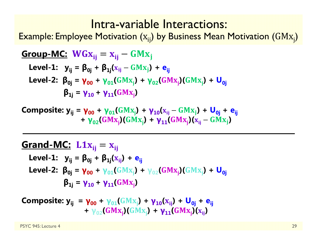### Intra-variable Interactions:

Example: Employee Motivation  $\left(\mathrm{x_{ij}}\right)$  by Business Mean Motivation  $\left(\mathrm{GMx_{j}}\right)$ 

**Group-MC:** 
$$
WGx_{ij} = x_{ij} - GMx_j
$$

\nLevel-1:  $y_{ij} = \beta_{0j} + \beta_{1j}(x_{ij} - GMx_j) + e_{ij}$ 

\nLevel-2:  $\beta_{0j} = \gamma_{00} + \gamma_{01}(GMx_j) + \gamma_{02}(GMx_j)(GMx_j) + U_{0j}$ 

\n $\beta_{1j} = \gamma_{10} + \gamma_{11}(GMx_j)$ 

 ${\bf Composite:}$   ${\bf y_{ij}} = {\bf \gamma_{00}} + {\bf \gamma_{01}}({\bf GMx_j}) + {\bf \gamma_{10}}({\bf x_{ij}} - {\bf GMx_j}) + {\bf U_{0j}} + {\bf e_{ij}}$ **+ γ**<sub>02</sub>(GMx<sub>j</sub>)(GMx<sub>j</sub>) + **γ**<sub>11</sub>(GMx<sub>j</sub>)(x<sub>ij</sub> – GMx<sub>j</sub>)

### ܒܑܠۺ **:MC-Grand** ൌ ܒܑܠ

Level-1: 
$$
y_{ij} = \beta_{0j} + \beta_{1j}(x_{ij}) + e_{ij}
$$

\nLevel-2: 
$$
\beta_{0j} = \gamma_{00} + \gamma_{01}(GMx_j) + \gamma_{02}(GMx_j)(GMx_j) + U_{0j}
$$

\n
$$
\beta_{1j} = \gamma_{10} + \gamma_{11}(GMx_j)
$$

**Composite:** 
$$
y_{ij} = \gamma_{00} + \gamma_{01}(GMx_j) + \gamma_{10}(x_{ij}) + U_{0j} + e_{ij}
$$
  
+  $\gamma_{02}(GMx_j)(GMx_j) + \gamma_{11}(GMx_j)(x_{ij})$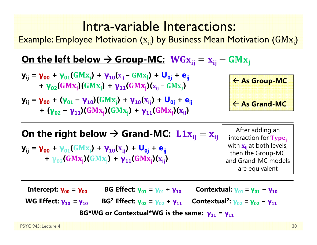### Intra-variable Interactions:

Example: Employee Motivation  $\left(\mathrm{x_{ij}}\right)$  by Business Mean Motivation  $\left(\mathrm{GMx_{j}}\right)$ 

#### **On the left below**  <u>→ Group-MC:</u> WGx<sub>ij</sub> = x<sub>ij</sub> – GMx<sub>j</sub>

- **y**<sub>ij</sub> = **γ**<sub>00</sub> + **γ**<sub>01</sub>(GMx<sub>j</sub>) + **γ**<sub>10</sub>(x<sub>ij</sub> GMx<sub>j</sub>) + U<sub>0j</sub> + e<sub>ij</sub> **+ γ**<sub>02</sub>(GMx<sub>j</sub>)(GMx<sub>j</sub>) + **γ**<sub>11</sub>(GMx<sub>j</sub>)(x<sub>ij</sub> – GMx<sub>j</sub>)
- **y**<sub>ij</sub> = **γ**<sub>00</sub> + (**γ**<sub>01</sub> − **γ**<sub>10</sub>)(GMx<sub>j</sub>) + **γ**<sub>10</sub>(x<sub>ij</sub>) + U<sub>0j</sub> + e<sub>ij</sub> + (**γ**<sub>02</sub> – **γ**<sub>11</sub>)(GMx<sub>j</sub>)(GMx<sub>j</sub>) + **γ**<sub>11</sub>(GMx<sub>j</sub>)(x<sub>ij</sub>)

 **As Group-MC As Grand-MC**

### On the right below → Grand-MC: 【1x<sub>ij</sub> = x<sub>ij</sub>

 ${\bf y_{ij}}$  =  ${\bf y_{00}}$  +  ${\bf y_{01}}$ (GMx<sub>i</sub>) +  ${\bf y_{10}}$ (x<sub>ij</sub>) +  ${\bf U_{0j}}$  +  ${\bf e_{ij}}$ **+ γ**<sub>02</sub>(GMx<sub>j</sub>)(GMx<sub>j</sub>) + **γ**<sub>11</sub>(GMx<sub>j</sub>)(x<sub>ij</sub>)

After adding an interaction for  $Type_i$ with  $\mathbf{x_{ij}}$ at both levels, then the Group-MC and Grand-MC models are equivalent

**Intercept: γ00 <sup>=</sup> γ BG Effect: γ01 = γ01 + γ Contextual: γ01= γ01− γWG Effect: γ10 = γ BG 2 Effect: γ02 <sup>=</sup> γ02 + γ**<sub>11</sub> **Contextual<sup>2</sup>: <b>γ**<sub>02</sub> = **γ**<sub>02</sub> - **γ**<sub>11</sub> **BG\*WG or Contextual\*WG is the same: γ11 <sup>=</sup> γ**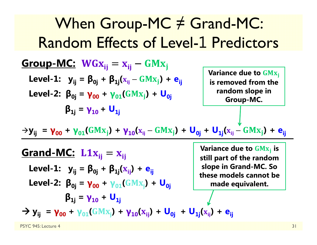| Window Error                                                                                                                     | Group-MC                                                                                                          | Grand-MC: |
|----------------------------------------------------------------------------------------------------------------------------------|-------------------------------------------------------------------------------------------------------------------|-----------|
| <b>Group-MC:</b> $WGx_{ij} = x_{ij} - GMx_j$                                                                                     | Variance due to $GMx_j$                                                                                           |           |
| Level-1: $y_{ij} = \beta_{0j} + \beta_{1j}(x_{ij} - GMx_j) + e_{ij}$                                                             | Variance due to $GMx_j$                                                                                           |           |
| Level-2: $\beta_{0j} = \gamma_{00} + \gamma_{01}(GMx_j) + U_{0j}$                                                                | Variance                                                                                                          |           |
| $\beta_{1j} = \gamma_{10} + U_{1j}$                                                                                              | Ysum( $\alpha_{ij} - GMx_j$ ) + U <sub>0j</sub> + U <sub>1j</sub> ( $x_{ij} - GMx_j$ ) + e <sub>ij</sub>          |           |
| $\rightarrow y_{ij} = \gamma_{00} + \gamma_{01}(GMx_j) + \gamma_{10}(x_{ij} - GMx_j) + U_{0j} + U_{1j}(x_{ij} - GMx_j) + e_{ij}$ |                                                                                                                   |           |
| <b>Grand-MC:</b> $L1x_{ij} = x_{ij}$                                                                                             | Variance due to $GMx_j$ is still part of the random slope in Grand-MC. So these models cannot be made equivalent. |           |
| Level-2: $\beta_{0j} = \gamma_{00} + \gamma_{01}(GMx_j) + U_{0j}$                                                                | Uose in Grand-MC. So these models cannot be made equivalent.                                                      |           |
| $\beta_{1j} = \gamma_{10} + U_{1j}$                                                                                              | Uose in the image.                                                                                                |           |
| $\rightarrow y_{ij} = \gamma_{00} + \gamma_{01}(GMx_j) + \gamma_{10}(x_{ij}) + U_{0j} + U_{1j}(x_{ij}) + e_{ij}$                 |                                                                                                                   |           |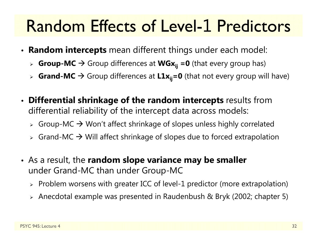### Random Effects of Level-1 Predictors

- **Random intercepts** mean different things under each model:
	- > Croup-MC → Group differences at WGx<sub>ij</sub> =0 (that every group has)
	- > Crand-MC → Group differences at L1x<sub>ij</sub>=0 (that not every group will have)
- **Differential shrinkage of the random intercepts** results from differential reliability of the intercept data across models:
	- $\triangleright$  Group-MC  $\rightarrow$  Won't affect shrinkage of slopes unless highly correlated
	- $\triangleright$  Grand-MC  $\rightarrow$  Will affect shrinkage of slopes due to forced extrapolation
- As a result, the **random slope variance may be smaller** under Grand-MC than under Group-MC
	- $\triangleright$  Problem worsens with greater ICC of level-1 predictor (more extrapolation)
	- Anecdotal example was presented in Raudenbush & Bryk (2002; chapter 5)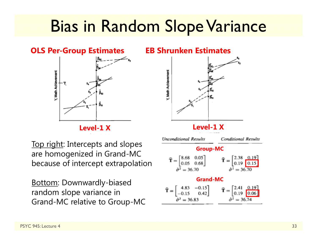### Bias in Random Slope Variance

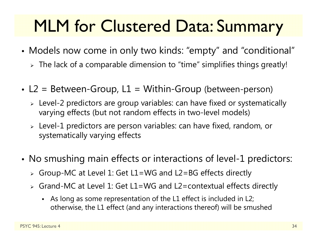## MLM for Clustered Data: Summary

- Models now come in only two kinds: "empty" and "conditional"
	- $\triangleright\;$  The lack of a comparable dimension to "time" simplifies things greatly!
- L2 = Between-Group, L1 = Within-Group (between-person)
	- $\triangleright$  Level-2 predictors are group variables: can have fixed or systematically varying effects (but not random effects in two-level models)
	- $\triangleright$  Level-1 predictors are person variables: can have fixed, random, or systematically varying effects
- • No smushing main effects or interactions of level-1 predictors:
	- Group-MC at Level 1: Get L1=WG and L2=BG effects directly
	- Grand-MC at Level 1: Get L1=WG and L2=contextual effects directly
		- As long as some representation of the L1 effect is included in L2; otherwise, the L1 effect (and any interactions thereof) will be smushed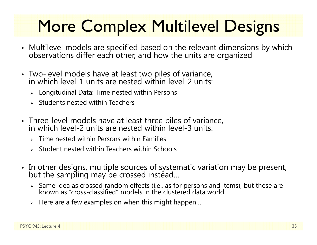# More Complex Multilevel Designs

- Multilevel models are specified based on the relevant dimensions by which<br>observations differ each other, and how the units are organized
- Two-level models have at least two piles of variance, in which level-1 units are nested within level-2 units:
	- $\triangleright$  Longitudinal Data: Time nested within Persons
	- $\triangleright$  Students nested within Teachers
- Three-level models have at least three piles of variance, in which level-2 units are nested within level-3 units:
	- $\triangleright$  Time nested within Persons within Families
	- $\triangleright$  Student nested within Teachers within Schools
- In other designs, multiple sources of systematic variation may be present,<br>but the sampling may be crossed instead…
	- $\triangleright$  Same idea as crossed random effects (i.e., as for persons and items), but these are known as "cross-classified" models in the clustered data world
	- $\triangleright$  Here are a few examples on when this might happen...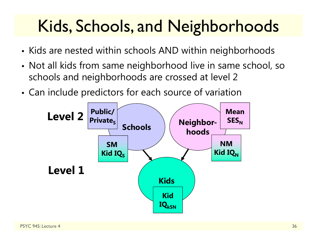## Kids, Schools, and Neighborhoods

- Kids are nested within schools AND within neighborhoods
- • Not all kids from same neighborhood live in same school, so schools and neighborhoods are crossed at level 2
- •Can include predictors for each source of variation

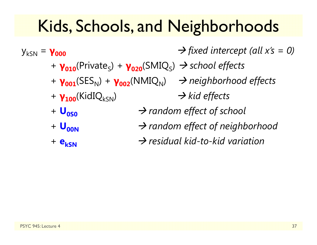## Kids, Schools, and Neighborhoods

ykSN <sup>=</sup> **γ000** *fixed intercept (all x's = 0)* + **γ010**(Private S) + **γ020**(SMIQ S) *school effects* + **γ001**(SES N) + **γ002**(NMIQ N) *neighborhood effects* + **γ<sub>100</sub>**(KidIQ<sub>kSN</sub>) **→ kid effects** + **U0S0** $\rightarrow$  random effect of school +  $\bf{U}_{00N}$  $\rightarrow$  random effect of neighborhood + **ekSN** $\rightarrow$  residual kid-to-kid variation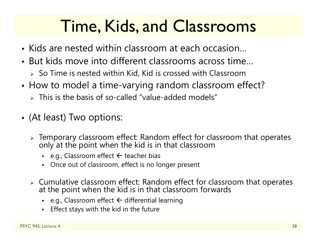## Time, Kids, and Classrooms

- Kids are nested within classroom at each occasion…
- But kids move into different classrooms across time…
	- $\triangleright$  So Time is nested within Kid, Kid is crossed with Classroom
- • How to model a time-varying random classroom effect?
	- $\triangleright$  This is the basis of so-called "value-added models"
- (At least) Two options:
	- $\triangleright$  Temporary classroom effect: Random effect for classroom that operates only at the point when the kid is in that classroom
		- e.g., Classroom effect  $\leftarrow$  teacher bias
		- Once out of classroom, effect is no longer present
	- Cumulative classroom effect: Random effect for classroom that operates at the point when the kid is in that classroom forwards
		- n • e.g., Classroom effect  $\Leftarrow$  differential learning
		- n Effect stays with the kid in the future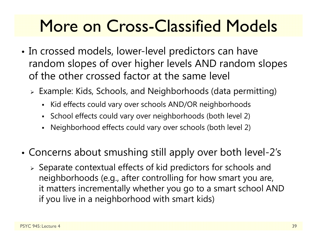## More on Cross-Classified Models

- • In crossed models, lower-level predictors can have random slopes of over higher levels AND random slopes of the other crossed factor at the same level
	- Example: Kids, Schools, and Neighborhoods (data permitting)
		- Kid effects could vary over schools AND/OR neighborhoods
		- School effects could vary over neighborhoods (both level 2)
		- Neighborhood effects could vary over schools (both level 2)
- • Concerns about smushing still apply over both level-2's
	- $\triangleright$  Separate contextual effects of kid predictors for schools and neighborhoods (e.g., after controlling for how smart you are, it matters incrementally whether you go to a smart school AND if you live in a neighborhood with smart kids)